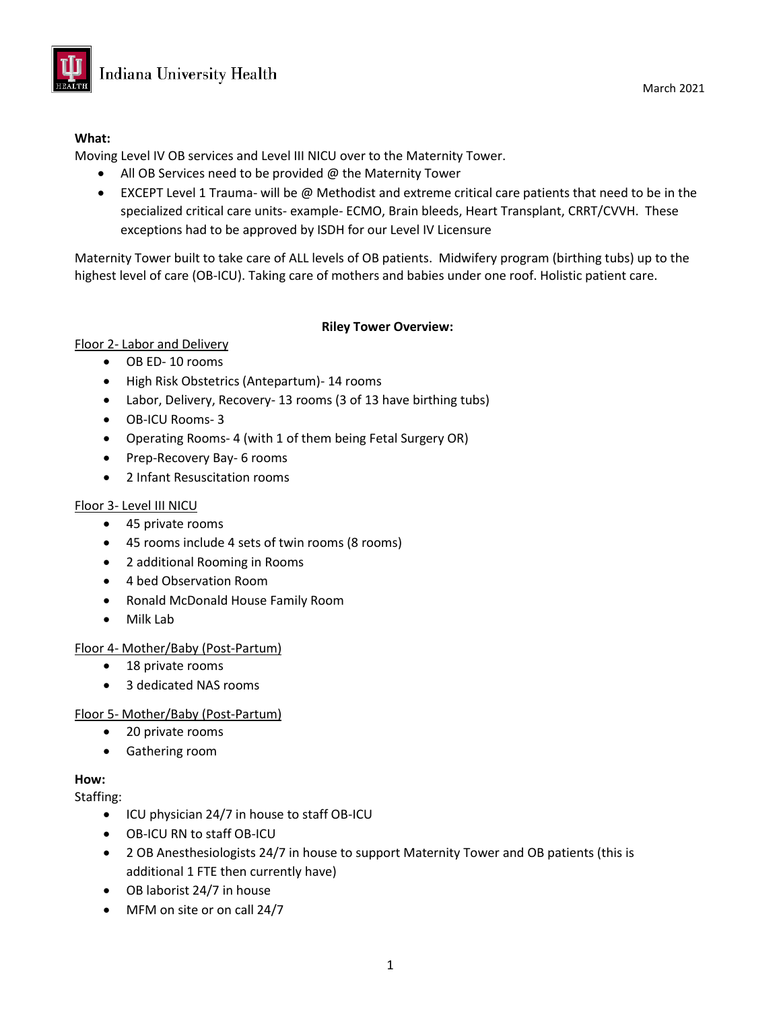

### **What:**

Moving Level IV OB services and Level III NICU over to the Maternity Tower.

- All OB Services need to be provided @ the Maternity Tower
- EXCEPT Level 1 Trauma- will be @ Methodist and extreme critical care patients that need to be in the specialized critical care units- example- ECMO, Brain bleeds, Heart Transplant, CRRT/CVVH. These exceptions had to be approved by ISDH for our Level IV Licensure

Maternity Tower built to take care of ALL levels of OB patients. Midwifery program (birthing tubs) up to the highest level of care (OB-ICU). Taking care of mothers and babies under one roof. Holistic patient care.

### **Riley Tower Overview:**

# Floor 2- Labor and Delivery

- OB ED- 10 rooms
- High Risk Obstetrics (Antepartum)- 14 rooms
- Labor, Delivery, Recovery- 13 rooms (3 of 13 have birthing tubs)
- OB-ICU Rooms- 3
- Operating Rooms- 4 (with 1 of them being Fetal Surgery OR)
- Prep-Recovery Bay- 6 rooms
- 2 Infant Resuscitation rooms

# Floor 3- Level III NICU

- 45 private rooms
- 45 rooms include 4 sets of twin rooms (8 rooms)
- 2 additional Rooming in Rooms
- 4 bed Observation Room
- Ronald McDonald House Family Room
- Milk Lab

# Floor 4- Mother/Baby (Post-Partum)

- 18 private rooms
- 3 dedicated NAS rooms

# Floor 5- Mother/Baby (Post-Partum)

- 20 private rooms
- Gathering room

#### **How:**

Staffing:

- ICU physician 24/7 in house to staff OB-ICU
- OB-ICU RN to staff OB-ICU
- 2 OB Anesthesiologists 24/7 in house to support Maternity Tower and OB patients (this is additional 1 FTE then currently have)
- OB laborist 24/7 in house
- MFM on site or on call 24/7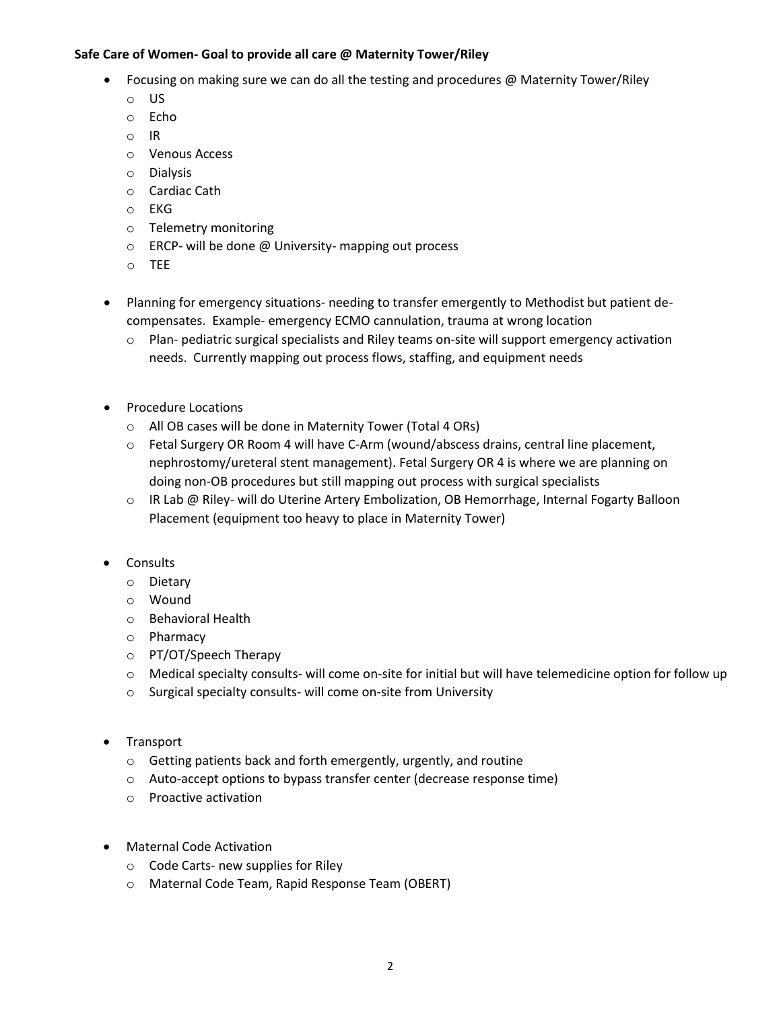#### **Safe Care of Women- Goal to provide all care @ Maternity Tower/Riley**

- Focusing on making sure we can do all the testing and procedures @ Maternity Tower/Riley
	- o US
	- o Echo
	- o IR
	- o Venous Access
	- o Dialysis
	- o Cardiac Cath
	- o EKG
	- o Telemetry monitoring
	- o ERCP- will be done @ University- mapping out process
	- o TEE
- Planning for emergency situations- needing to transfer emergently to Methodist but patient decompensates. Example- emergency ECMO cannulation, trauma at wrong location
	- $\circ$  Plan- pediatric surgical specialists and Riley teams on-site will support emergency activation needs. Currently mapping out process flows, staffing, and equipment needs
- Procedure Locations
	- o All OB cases will be done in Maternity Tower (Total 4 ORs)
	- o Fetal Surgery OR Room 4 will have C-Arm (wound/abscess drains, central line placement, nephrostomy/ureteral stent management). Fetal Surgery OR 4 is where we are planning on doing non-OB procedures but still mapping out process with surgical specialists
	- o IR Lab @ Riley- will do Uterine Artery Embolization, OB Hemorrhage, Internal Fogarty Balloon Placement (equipment too heavy to place in Maternity Tower)
- Consults
	- o Dietary
	- o Wound
	- o Behavioral Health
	- o Pharmacy
	- o PT/OT/Speech Therapy
	- o Medical specialty consults- will come on-site for initial but will have telemedicine option for follow up
	- o Surgical specialty consults- will come on-site from University
- Transport
	- o Getting patients back and forth emergently, urgently, and routine
	- o Auto-accept options to bypass transfer center (decrease response time)
	- o Proactive activation
- Maternal Code Activation
	- o Code Carts- new supplies for Riley
	- o Maternal Code Team, Rapid Response Team (OBERT)